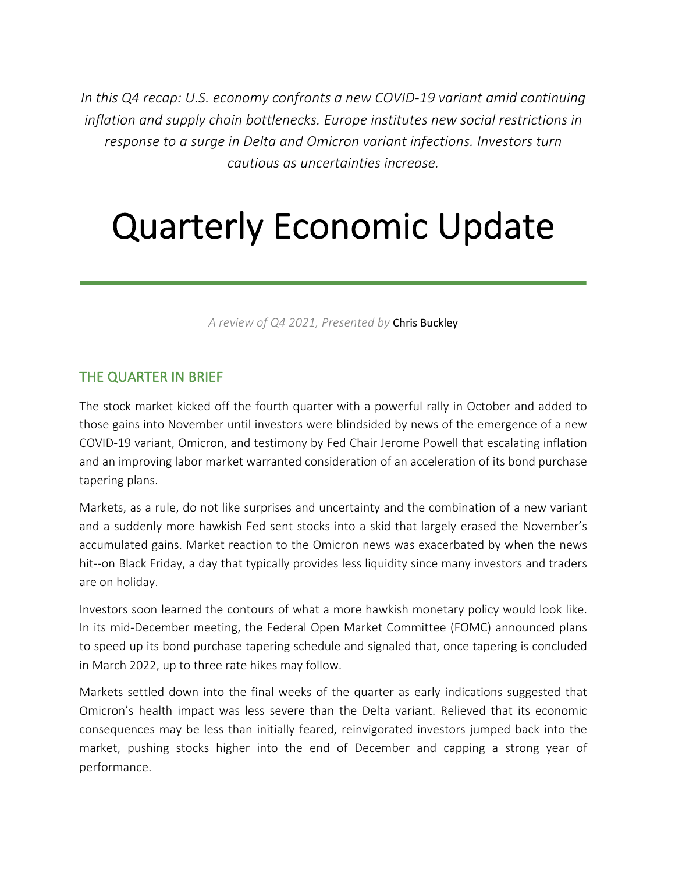*In this Q4 recap: U.S. economy confronts a new COVID-19 variant amid continuing inflation and supply chain bottlenecks. Europe institutes new social restrictions in response to a surge in Delta and Omicron variant infections. Investors turn cautious as uncertainties increase.*

# Quarterly Economic Update

*A review of Q4 2021, Presented by* Chris Buckley

### THE QUARTER IN BRIEF

The stock market kicked off the fourth quarter with a powerful rally in October and added to those gains into November until investors were blindsided by news of the emergence of a new COVID-19 variant, Omicron, and testimony by Fed Chair Jerome Powell that escalating inflation and an improving labor market warranted consideration of an acceleration of its bond purchase tapering plans.

Markets, as a rule, do not like surprises and uncertainty and the combination of a new variant and a suddenly more hawkish Fed sent stocks into a skid that largely erased the November's accumulated gains. Market reaction to the Omicron news was exacerbated by when the news hit--on Black Friday, a day that typically provides less liquidity since many investors and traders are on holiday.

Investors soon learned the contours of what a more hawkish monetary policy would look like. In its mid-December meeting, the Federal Open Market Committee (FOMC) announced plans to speed up its bond purchase tapering schedule and signaled that, once tapering is concluded in March 2022, up to three rate hikes may follow.

Markets settled down into the final weeks of the quarter as early indications suggested that Omicron's health impact was less severe than the Delta variant. Relieved that its economic consequences may be less than initially feared, reinvigorated investors jumped back into the market, pushing stocks higher into the end of December and capping a strong year of performance.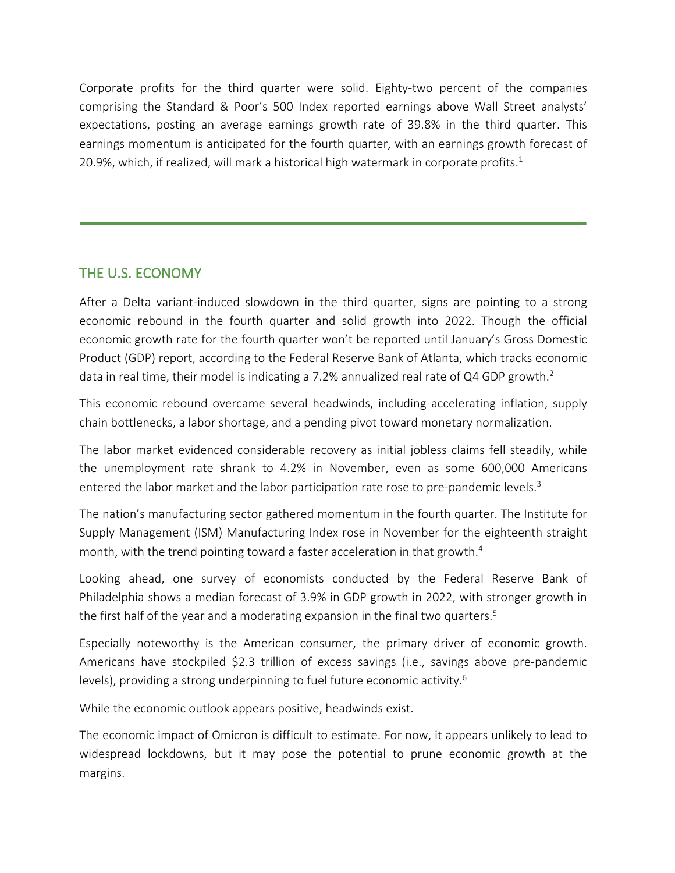Corporate profits for the third quarter were solid. Eighty-two percent of the companies comprising the Standard & Poor's 500 Index reported earnings above Wall Street analysts' expectations, posting an average earnings growth rate of 39.8% in the third quarter. This earnings momentum is anticipated for the fourth quarter, with an earnings growth forecast of 20.9%, which, if realized, will mark a historical high watermark in corporate profits. $1$ 

## THE U.S. ECONOMY

After a Delta variant-induced slowdown in the third quarter, signs are pointing to a strong economic rebound in the fourth quarter and solid growth into 2022. Though the official economic growth rate for the fourth quarter won't be reported until January's Gross Domestic Product (GDP) report, according to the Federal Reserve Bank of Atlanta, which tracks economic data in real time, their model is indicating a 7.2% annualized real rate of Q4 GDP growth.<sup>2</sup>

This economic rebound overcame several headwinds, including accelerating inflation, supply chain bottlenecks, a labor shortage, and a pending pivot toward monetary normalization.

The labor market evidenced considerable recovery as initial jobless claims fell steadily, while the unemployment rate shrank to 4.2% in November, even as some 600,000 Americans entered the labor market and the labor participation rate rose to pre-pandemic levels.<sup>3</sup>

The nation's manufacturing sector gathered momentum in the fourth quarter. The Institute for Supply Management (ISM) Manufacturing Index rose in November for the eighteenth straight month, with the trend pointing toward a faster acceleration in that growth.<sup>4</sup>

Looking ahead, one survey of economists conducted by the Federal Reserve Bank of Philadelphia shows a median forecast of 3.9% in GDP growth in 2022, with stronger growth in the first half of the year and a moderating expansion in the final two quarters.<sup>5</sup>

Especially noteworthy is the American consumer, the primary driver of economic growth. Americans have stockpiled \$2.3 trillion of excess savings (i.e., savings above pre-pandemic levels), providing a strong underpinning to fuel future economic activity.<sup>6</sup>

While the economic outlook appears positive, headwinds exist.

The economic impact of Omicron is difficult to estimate. For now, it appears unlikely to lead to widespread lockdowns, but it may pose the potential to prune economic growth at the margins.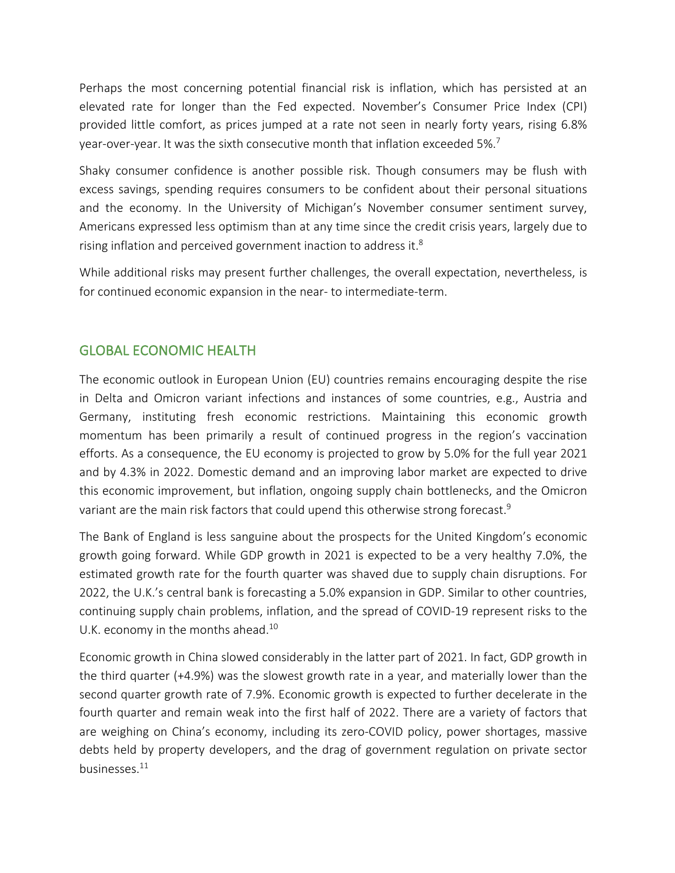Perhaps the most concerning potential financial risk is inflation, which has persisted at an elevated rate for longer than the Fed expected. November's Consumer Price Index (CPI) provided little comfort, as prices jumped at a rate not seen in nearly forty years, rising 6.8% year-over-year. It was the sixth consecutive month that inflation exceeded 5%.<sup>7</sup>

Shaky consumer confidence is another possible risk. Though consumers may be flush with excess savings, spending requires consumers to be confident about their personal situations and the economy. In the University of Michigan's November consumer sentiment survey, Americans expressed less optimism than at any time since the credit crisis years, largely due to rising inflation and perceived government inaction to address it.<sup>8</sup>

While additional risks may present further challenges, the overall expectation, nevertheless, is for continued economic expansion in the near- to intermediate-term.

### GLOBAL ECONOMIC HEALTH

The economic outlook in European Union (EU) countries remains encouraging despite the rise in Delta and Omicron variant infections and instances of some countries, e.g., Austria and Germany, instituting fresh economic restrictions. Maintaining this economic growth momentum has been primarily a result of continued progress in the region's vaccination efforts. As a consequence, the EU economy is projected to grow by 5.0% for the full year 2021 and by 4.3% in 2022. Domestic demand and an improving labor market are expected to drive this economic improvement, but inflation, ongoing supply chain bottlenecks, and the Omicron variant are the main risk factors that could upend this otherwise strong forecast.<sup>9</sup>

The Bank of England is less sanguine about the prospects for the United Kingdom's economic growth going forward. While GDP growth in 2021 is expected to be a very healthy 7.0%, the estimated growth rate for the fourth quarter was shaved due to supply chain disruptions. For 2022, the U.K.'s central bank is forecasting a 5.0% expansion in GDP. Similar to other countries, continuing supply chain problems, inflation, and the spread of COVID-19 represent risks to the U.K. economy in the months ahead.<sup>10</sup>

Economic growth in China slowed considerably in the latter part of 2021. In fact, GDP growth in the third quarter (+4.9%) was the slowest growth rate in a year, and materially lower than the second quarter growth rate of 7.9%. Economic growth is expected to further decelerate in the fourth quarter and remain weak into the first half of 2022. There are a variety of factors that are weighing on China's economy, including its zero-COVID policy, power shortages, massive debts held by property developers, and the drag of government regulation on private sector businesses.<sup>11</sup>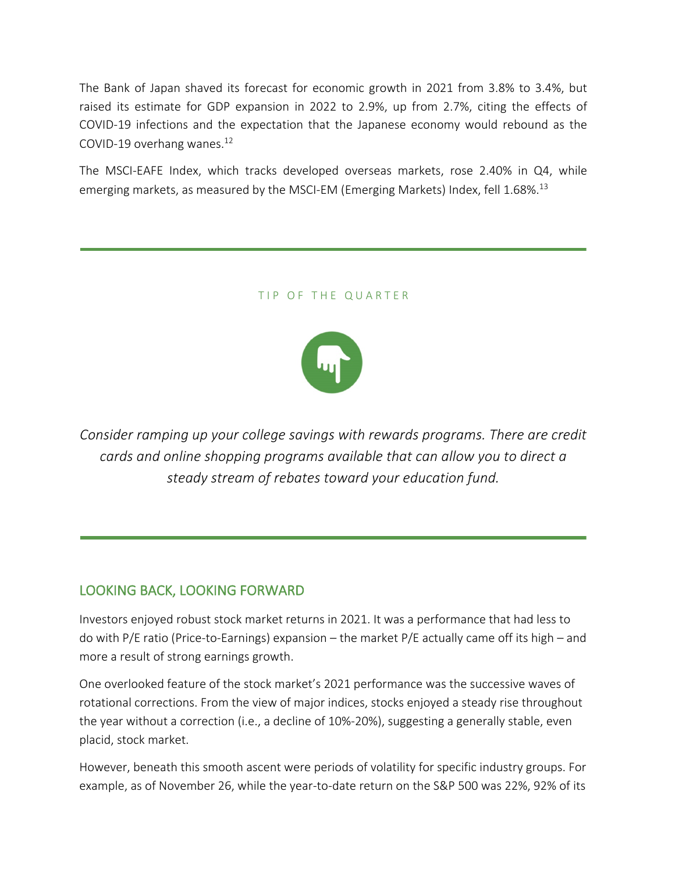The Bank of Japan shaved its forecast for economic growth in 2021 from 3.8% to 3.4%, but raised its estimate for GDP expansion in 2022 to 2.9%, up from 2.7%, citing the effects of COVID-19 infections and the expectation that the Japanese economy would rebound as the COVID-19 overhang wanes.<sup>12</sup>

The MSCI-EAFE Index, which tracks developed overseas markets, rose 2.40% in Q4, while emerging markets, as measured by the MSCI-EM (Emerging Markets) Index, fell 1.68%.<sup>13</sup>

#### TIP OF THE QUARTER



*Consider ramping up your college savings with rewards programs. There are credit cards and online shopping programs available that can allow you to direct a steady stream of rebates toward your education fund.*

#### LOOKING BACK, LOOKING FORWARD

Investors enjoyed robust stock market returns in 2021. It was a performance that had less to do with P/E ratio (Price-to-Earnings) expansion – the market P/E actually came off its high – and more a result of strong earnings growth.

One overlooked feature of the stock market's 2021 performance was the successive waves of rotational corrections. From the view of major indices, stocks enjoyed a steady rise throughout the year without a correction (i.e., a decline of 10%-20%), suggesting a generally stable, even placid, stock market.

However, beneath this smooth ascent were periods of volatility for specific industry groups. For example, as of November 26, while the year-to-date return on the S&P 500 was 22%, 92% of its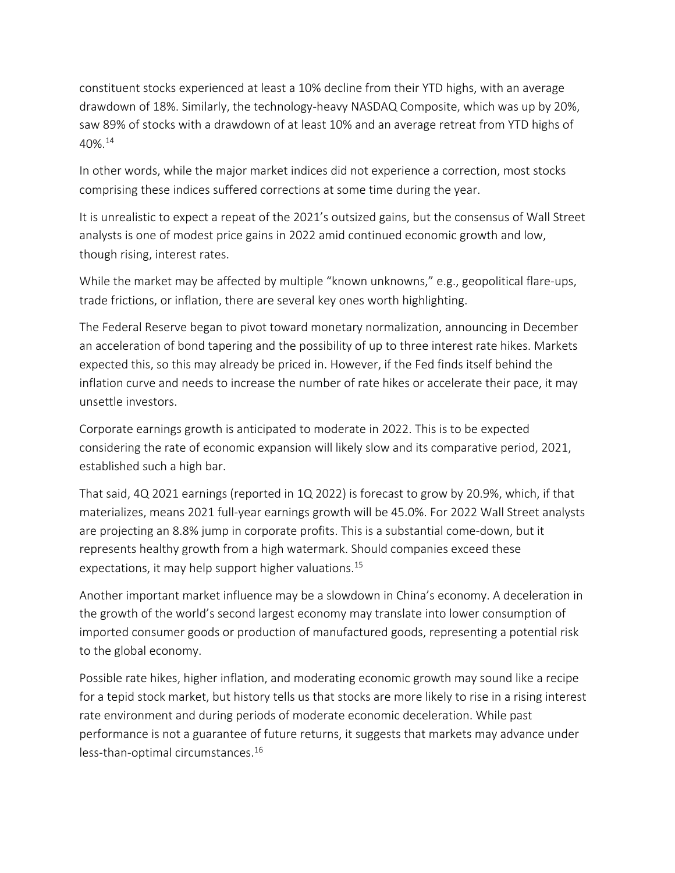constituent stocks experienced at least a 10% decline from their YTD highs, with an average drawdown of 18%. Similarly, the technology-heavy NASDAQ Composite, which was up by 20%, saw 89% of stocks with a drawdown of at least 10% and an average retreat from YTD highs of 40%.14

In other words, while the major market indices did not experience a correction, most stocks comprising these indices suffered corrections at some time during the year.

It is unrealistic to expect a repeat of the 2021's outsized gains, but the consensus of Wall Street analysts is one of modest price gains in 2022 amid continued economic growth and low, though rising, interest rates.

While the market may be affected by multiple "known unknowns," e.g., geopolitical flare-ups, trade frictions, or inflation, there are several key ones worth highlighting.

The Federal Reserve began to pivot toward monetary normalization, announcing in December an acceleration of bond tapering and the possibility of up to three interest rate hikes. Markets expected this, so this may already be priced in. However, if the Fed finds itself behind the inflation curve and needs to increase the number of rate hikes or accelerate their pace, it may unsettle investors.

Corporate earnings growth is anticipated to moderate in 2022. This is to be expected considering the rate of economic expansion will likely slow and its comparative period, 2021, established such a high bar.

That said, 4Q 2021 earnings (reported in 1Q 2022) is forecast to grow by 20.9%, which, if that materializes, means 2021 full-year earnings growth will be 45.0%. For 2022 Wall Street analysts are projecting an 8.8% jump in corporate profits. This is a substantial come-down, but it represents healthy growth from a high watermark. Should companies exceed these expectations, it may help support higher valuations.<sup>15</sup>

Another important market influence may be a slowdown in China's economy. A deceleration in the growth of the world's second largest economy may translate into lower consumption of imported consumer goods or production of manufactured goods, representing a potential risk to the global economy.

Possible rate hikes, higher inflation, and moderating economic growth may sound like a recipe for a tepid stock market, but history tells us that stocks are more likely to rise in a rising interest rate environment and during periods of moderate economic deceleration. While past performance is not a guarantee of future returns, it suggests that markets may advance under less-than-optimal circumstances.16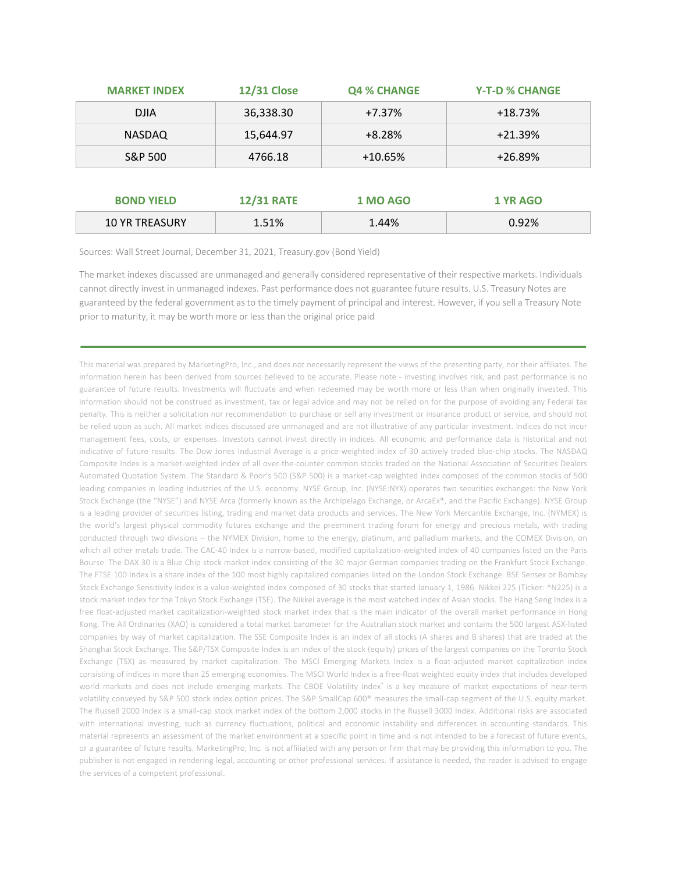| <b>MARKET INDEX</b> | <b>12/31 Close</b> | <b>Q4 % CHANGE</b> | <b>Y-T-D % CHANGE</b> |
|---------------------|--------------------|--------------------|-----------------------|
| <b>DJIA</b>         | 36,338.30          | $+7.37%$           | $+18.73%$             |
| NASDAQ              | 15,644.97          | $+8.28%$           | $+21.39%$             |
| S&P 500             | 4766.18            | $+10.65%$          | $+26.89%$             |

| <b>BOND YIELD</b>     | <b>12/31 RATE</b> | <b>1 MO AGO</b> | 1 YR AGO |
|-----------------------|-------------------|-----------------|----------|
| <b>10 YR TREASURY</b> | 1.51%             | 1.44%           | 0.92%    |

Sources: Wall Street Journal, December 31, 2021, Treasury.gov (Bond Yield)

The market indexes discussed are unmanaged and generally considered representative of their respective markets. Individuals cannot directly invest in unmanaged indexes. Past performance does not guarantee future results. U.S. Treasury Notes are guaranteed by the federal government as to the timely payment of principal and interest. However, if you sell a Treasury Note prior to maturity, it may be worth more or less than the original price paid

This material was prepared by MarketingPro, Inc., and does not necessarily represent the views of the presenting party, nor their affiliates. The information herein has been derived from sources believed to be accurate. Please note - investing involves risk, and past performance is no guarantee of future results. Investments will fluctuate and when redeemed may be worth more or less than when originally invested. This information should not be construed as investment, tax or legal advice and may not be relied on for the purpose of avoiding any Federal tax penalty. This is neither a solicitation nor recommendation to purchase or sell any investment or insurance product or service, and should not be relied upon as such. All market indices discussed are unmanaged and are not illustrative of any particular investment. Indices do not incur management fees, costs, or expenses. Investors cannot invest directly in indices. All economic and performance data is historical and not indicative of future results. The Dow Jones Industrial Average is a price-weighted index of 30 actively traded blue-chip stocks. The NASDAQ Composite Index is a market-weighted index of all over-the-counter common stocks traded on the National Association of Securities Dealers Automated Quotation System. The Standard & Poor's 500 (S&P 500) is a market-cap weighted index composed of the common stocks of 500 leading companies in leading industries of the U.S. economy. NYSE Group, Inc. (NYSE:NYX) operates two securities exchanges: the New York Stock Exchange (the "NYSE") and NYSE Arca (formerly known as the Archipelago Exchange, or ArcaEx®, and the Pacific Exchange). NYSE Group is a leading provider of securities listing, trading and market data products and services. The New York Mercantile Exchange, Inc. (NYMEX) is the world's largest physical commodity futures exchange and the preeminent trading forum for energy and precious metals, with trading conducted through two divisions – the NYMEX Division, home to the energy, platinum, and palladium markets, and the COMEX Division, on which all other metals trade. The CAC-40 Index is a narrow-based, modified capitalization-weighted index of 40 companies listed on the Paris Bourse. The DAX 30 is a Blue Chip stock market index consisting of the 30 major German companies trading on the Frankfurt Stock Exchange. The FTSE 100 Index is a share index of the 100 most highly capitalized companies listed on the London Stock Exchange. BSE Sensex or Bombay Stock Exchange Sensitivity Index is a value-weighted index composed of 30 stocks that started January 1, 1986. Nikkei 225 (Ticker: ^N225) is a stock market index for the Tokyo Stock Exchange (TSE). The Nikkei average is the most watched index of Asian stocks. The Hang Seng Index is a free float-adjusted market capitalization-weighted stock market index that is the main indicator of the overall market performance in Hong Kong. The All Ordinaries (XAO) is considered a total market barometer for the Australian stock market and contains the 500 largest ASX-listed companies by way of market capitalization. The SSE Composite Index is an index of all stocks (A shares and B shares) that are traded at the Shanghai Stock Exchange. The S&P/TSX Composite Index is an index of the stock (equity) prices of the largest companies on the Toronto Stock Exchange (TSX) as measured by market capitalization. The MSCI Emerging Markets Index is a float-adjusted market capitalization index consisting of indices in more than 25 emerging economies. The MSCI World Index is a free-float weighted equity index that includes developed world markets and does not include emerging markets. The CBOE Volatility Index® is a key measure of market expectations of near-term volatility conveyed by S&P 500 stock index option prices. The S&P SmallCap 600® measures the small-cap segment of the U.S. equity market. The Russell 2000 Index is a small-cap stock market index of the bottom 2,000 stocks in the Russell 3000 Index. Additional risks are associated with international investing, such as currency fluctuations, political and economic instability and differences in accounting standards. This material represents an assessment of the market environment at a specific point in time and is not intended to be a forecast of future events, or a guarantee of future results. MarketingPro, Inc. is not affiliated with any person or firm that may be providing this information to you. The publisher is not engaged in rendering legal, accounting or other professional services. If assistance is needed, the reader is advised to engage the services of a competent professional.